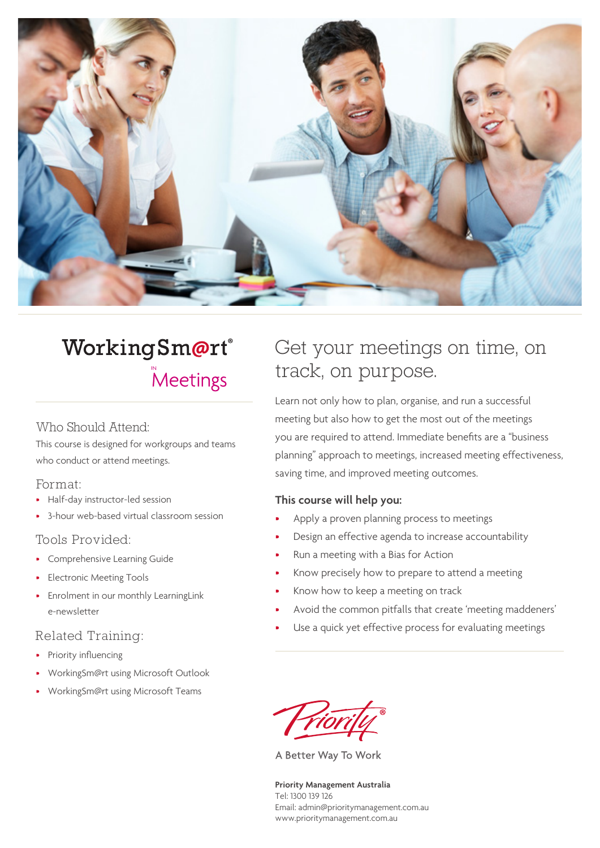

# WorkingSm@rt® Meetings

### Who Should Attend:

This course is designed for workgroups and teams who conduct or attend meetings.

### Format:

- Half-day instructor-led session
- 3-hour web-based virtual classroom session

### Tools Provided:

- Comprehensive Learning Guide
- Electronic Meeting Tools
- Enrolment in our monthly LearningLink e-newsletter

### Related Training:

- Priority influencing
- WorkingSm@rt using Microsoft Outlook
- WorkingSm@rt using Microsoft Teams

## Get your meetings on time, on track, on purpose.

Learn not only how to plan, organise, and run a successful meeting but also how to get the most out of the meetings you are required to attend. Immediate benefits are a "business planning" approach to meetings, increased meeting effectiveness, saving time, and improved meeting outcomes.

### **This course will help you:**

- Apply a proven planning process to meetings
- Design an effective agenda to increase accountability
- Run a meeting with a Bias for Action
- Know precisely how to prepare to attend a meeting
- Know how to keep a meeting on track
- Avoid the common pitfalls that create 'meeting maddeners'
- Use a quick yet effective process for evaluating meetings

A Better Way To Work

**Priority Management Australia** Tel: 1300 139 126 Email: admin@prioritymanagement.com.au www.prioritymanagement.com.au